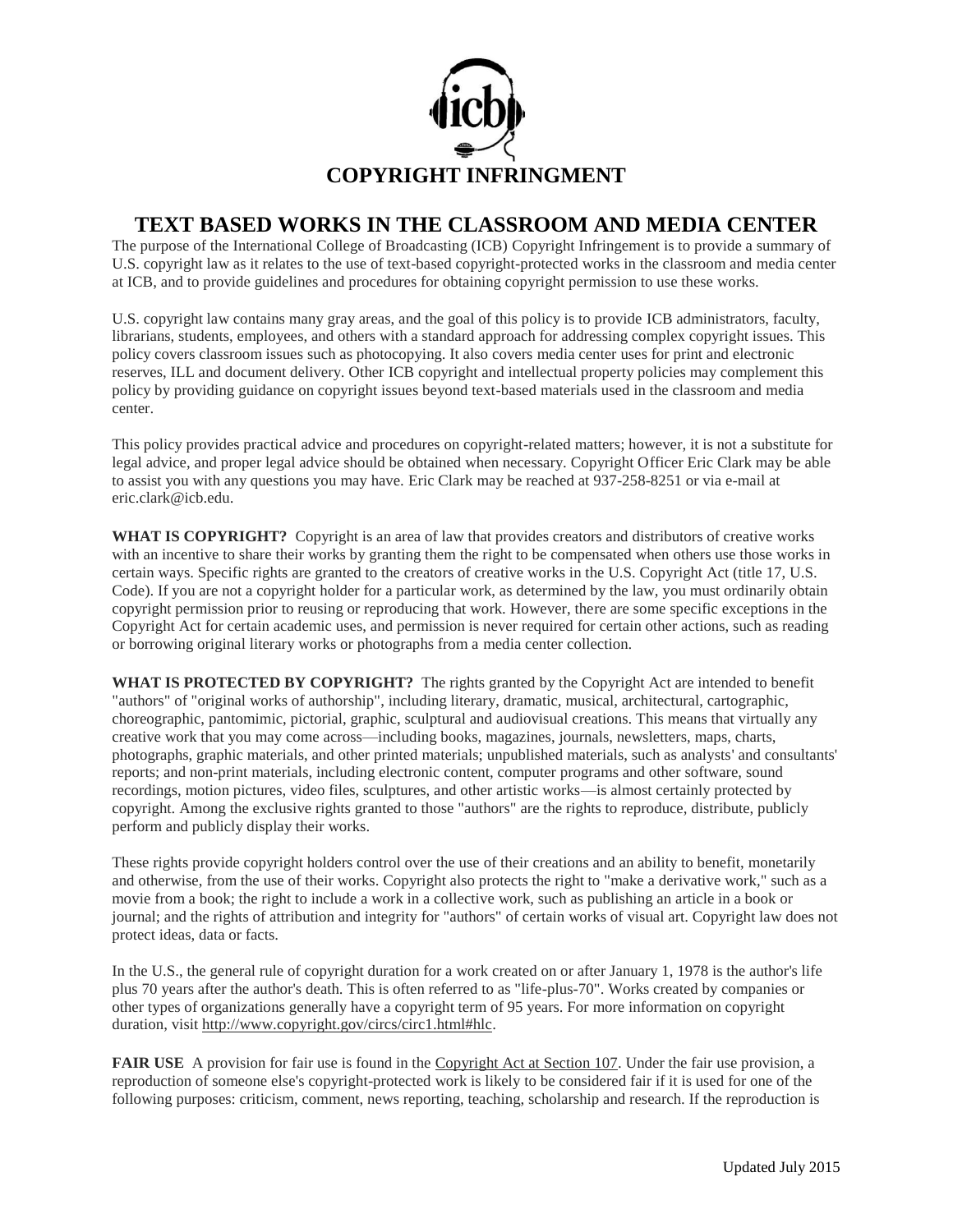

## **TEXT BASED WORKS IN THE CLASSROOM AND MEDIA CENTER**

The purpose of the International College of Broadcasting (ICB) Copyright Infringement is to provide a summary of U.S. copyright law as it relates to the use of text-based copyright-protected works in the classroom and media center at ICB, and to provide guidelines and procedures for obtaining copyright permission to use these works.

U.S. copyright law contains many gray areas, and the goal of this policy is to provide ICB administrators, faculty, librarians, students, employees, and others with a standard approach for addressing complex copyright issues. This policy covers classroom issues such as photocopying. It also covers media center uses for print and electronic reserves, ILL and document delivery. Other ICB copyright and intellectual property policies may complement this policy by providing guidance on copyright issues beyond text-based materials used in the classroom and media center.

This policy provides practical advice and procedures on copyright-related matters; however, it is not a substitute for legal advice, and proper legal advice should be obtained when necessary. Copyright Officer Eric Clark may be able to assist you with any questions you may have. Eric Clark may be reached at 937-258-8251 or via e-mail at eric.clark@icb.edu.

**WHAT IS COPYRIGHT?** Copyright is an area of law that provides creators and distributors of creative works with an incentive to share their works by granting them the right to be compensated when others use those works in certain ways. Specific rights are granted to the creators of creative works in the U.S. Copyright Act (title 17, U.S. Code). If you are not a copyright holder for a particular work, as determined by the law, you must ordinarily obtain copyright permission prior to reusing or reproducing that work. However, there are some specific exceptions in the Copyright Act for certain academic uses, and permission is never required for certain other actions, such as reading or borrowing original literary works or photographs from a media center collection.

**WHAT IS PROTECTED BY COPYRIGHT?** The rights granted by the Copyright Act are intended to benefit "authors" of "original works of authorship", including literary, dramatic, musical, architectural, cartographic, choreographic, pantomimic, pictorial, graphic, sculptural and audiovisual creations. This means that virtually any creative work that you may come across—including books, magazines, journals, newsletters, maps, charts, photographs, graphic materials, and other printed materials; unpublished materials, such as analysts' and consultants' reports; and non-print materials, including electronic content, computer programs and other software, sound recordings, motion pictures, video files, sculptures, and other artistic works—is almost certainly protected by copyright. Among the exclusive rights granted to those "authors" are the rights to reproduce, distribute, publicly perform and publicly display their works.

These rights provide copyright holders control over the use of their creations and an ability to benefit, monetarily and otherwise, from the use of their works. Copyright also protects the right to "make a derivative work," such as a movie from a book; the right to include a work in a collective work, such as publishing an article in a book or journal; and the rights of attribution and integrity for "authors" of certain works of visual art. Copyright law does not protect ideas, data or facts.

In the U.S., the general rule of copyright duration for a work created on or after January 1, 1978 is the author's life plus 70 years after the author's death. This is often referred to as "life-plus-70". Works created by companies or other types of organizations generally have a copyright term of 95 years. For more information on copyright duration, visit [http://www.copyright.gov/circs/circ1.html#hlc.](http://www.copyright.gov/circs/circ1.html#hlc)

**FAIR USE** A provision for fair use is found in the [Copyright Act at Section 107.](http://www.copyright.gov/title17) Under the fair use provision, a reproduction of someone else's copyright-protected work is likely to be considered fair if it is used for one of the following purposes: criticism, comment, news reporting, teaching, scholarship and research. If the reproduction is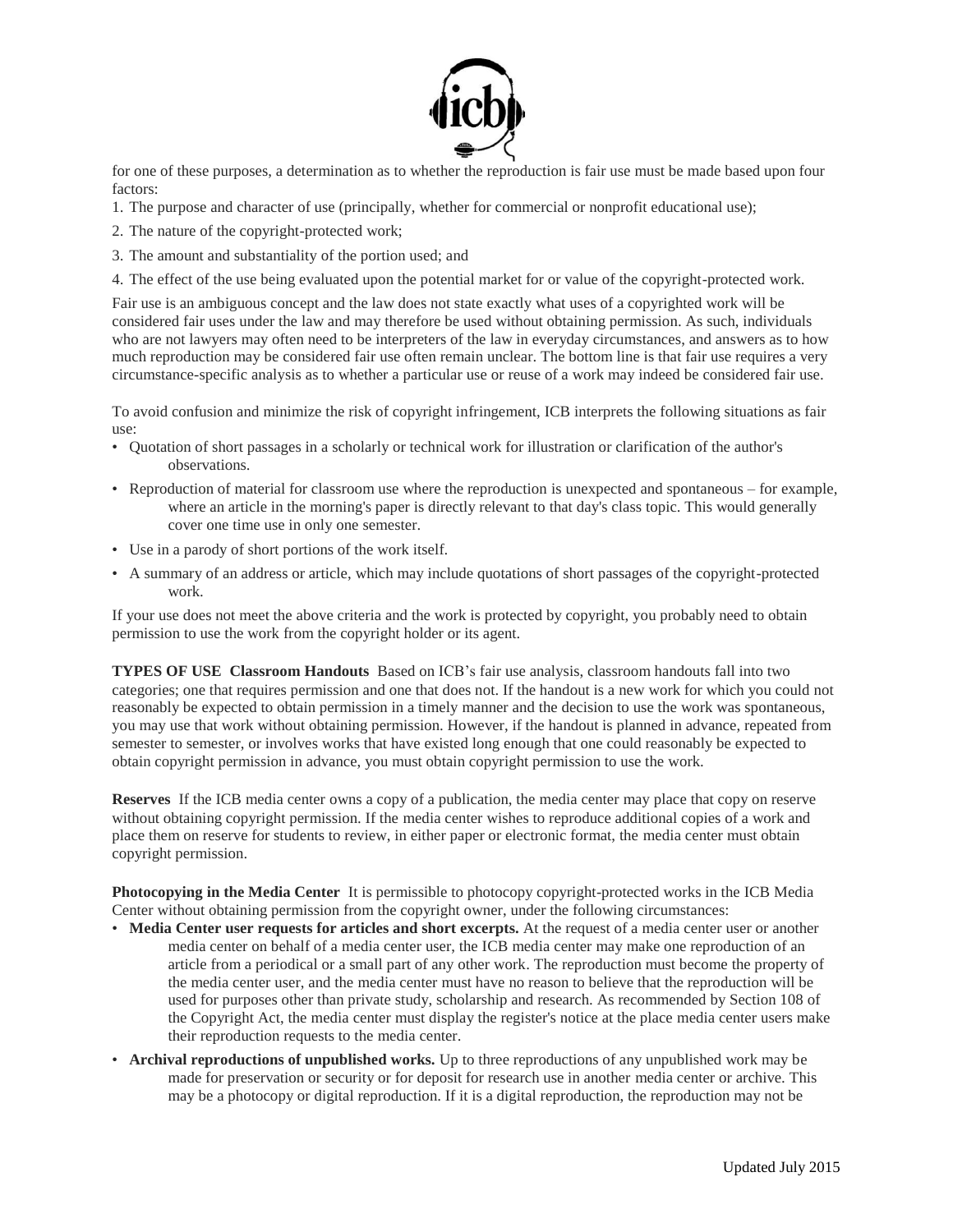

for one of these purposes, a determination as to whether the reproduction is fair use must be made based upon four factors:

- 1. The purpose and character of use (principally, whether for commercial or nonprofit educational use);
- 2. The nature of the copyright-protected work;
- 3. The amount and substantiality of the portion used; and
- 4. The effect of the use being evaluated upon the potential market for or value of the copyright-protected work.

Fair use is an ambiguous concept and the law does not state exactly what uses of a copyrighted work will be considered fair uses under the law and may therefore be used without obtaining permission. As such, individuals who are not lawyers may often need to be interpreters of the law in everyday circumstances, and answers as to how much reproduction may be considered fair use often remain unclear. The bottom line is that fair use requires a very circumstance-specific analysis as to whether a particular use or reuse of a work may indeed be considered fair use.

To avoid confusion and minimize the risk of copyright infringement, ICB interprets the following situations as fair use:

- Quotation of short passages in a scholarly or technical work for illustration or clarification of the author's observations.
- Reproduction of material for classroom use where the reproduction is unexpected and spontaneous for example, where an article in the morning's paper is directly relevant to that day's class topic. This would generally cover one time use in only one semester.
- Use in a parody of short portions of the work itself.
- A summary of an address or article, which may include quotations of short passages of the copyright-protected work.

If your use does not meet the above criteria and the work is protected by copyright, you probably need to obtain permission to use the work from the copyright holder or its agent.

**TYPES OF USE Classroom Handouts** Based on ICB's fair use analysis, classroom handouts fall into two categories; one that requires permission and one that does not. If the handout is a new work for which you could not reasonably be expected to obtain permission in a timely manner and the decision to use the work was spontaneous, you may use that work without obtaining permission. However, if the handout is planned in advance, repeated from semester to semester, or involves works that have existed long enough that one could reasonably be expected to obtain copyright permission in advance, you must obtain copyright permission to use the work.

**Reserves** If the ICB media center owns a copy of a publication, the media center may place that copy on reserve without obtaining copyright permission. If the media center wishes to reproduce additional copies of a work and place them on reserve for students to review, in either paper or electronic format, the media center must obtain copyright permission.

**Photocopying in the Media Center** It is permissible to photocopy copyright-protected works in the ICB Media Center without obtaining permission from the copyright owner, under the following circumstances:

- **Media Center user requests for articles and short excerpts.** At the request of a media center user or another media center on behalf of a media center user, the ICB media center may make one reproduction of an article from a periodical or a small part of any other work. The reproduction must become the property of the media center user, and the media center must have no reason to believe that the reproduction will be used for purposes other than private study, scholarship and research. As recommended by Section 108 of the Copyright Act, the media center must display the register's notice at the place media center users make their reproduction requests to the media center.
- **Archival reproductions of unpublished works.** Up to three reproductions of any unpublished work may be made for preservation or security or for deposit for research use in another media center or archive. This may be a photocopy or digital reproduction. If it is a digital reproduction, the reproduction may not be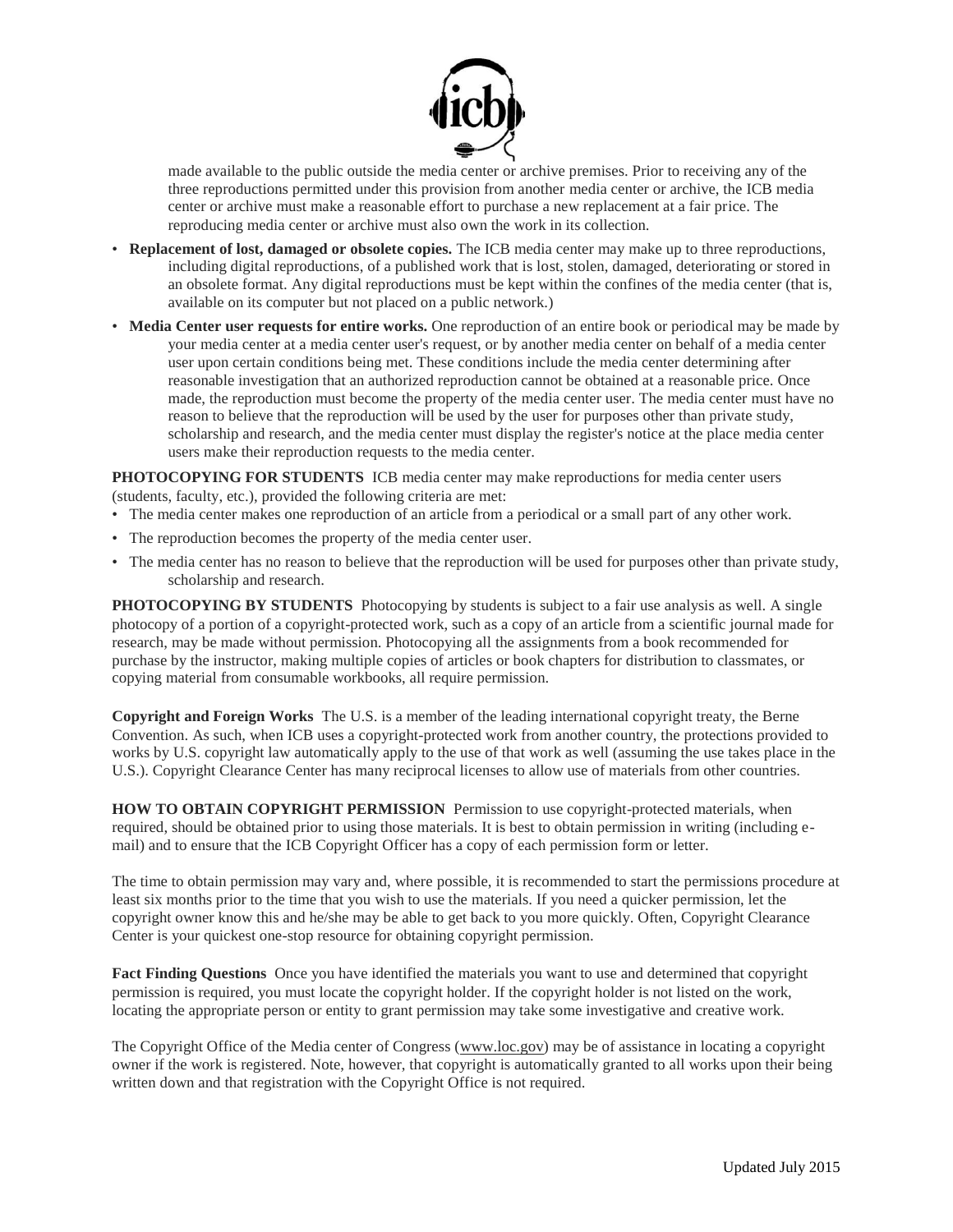

made available to the public outside the media center or archive premises. Prior to receiving any of the three reproductions permitted under this provision from another media center or archive, the ICB media center or archive must make a reasonable effort to purchase a new replacement at a fair price. The reproducing media center or archive must also own the work in its collection.

- **Replacement of lost, damaged or obsolete copies.** The ICB media center may make up to three reproductions, including digital reproductions, of a published work that is lost, stolen, damaged, deteriorating or stored in an obsolete format. Any digital reproductions must be kept within the confines of the media center (that is, available on its computer but not placed on a public network.)
- **Media Center user requests for entire works.** One reproduction of an entire book or periodical may be made by your media center at a media center user's request, or by another media center on behalf of a media center user upon certain conditions being met. These conditions include the media center determining after reasonable investigation that an authorized reproduction cannot be obtained at a reasonable price. Once made, the reproduction must become the property of the media center user. The media center must have no reason to believe that the reproduction will be used by the user for purposes other than private study, scholarship and research, and the media center must display the register's notice at the place media center users make their reproduction requests to the media center.

**PHOTOCOPYING FOR STUDENTS** ICB media center may make reproductions for media center users (students, faculty, etc.), provided the following criteria are met:

- The media center makes one reproduction of an article from a periodical or a small part of any other work.
- The reproduction becomes the property of the media center user.
- The media center has no reason to believe that the reproduction will be used for purposes other than private study, scholarship and research.

PHOTOCOPYING BY STUDENTS Photocopying by students is subject to a fair use analysis as well. A single photocopy of a portion of a copyright-protected work, such as a copy of an article from a scientific journal made for research, may be made without permission. Photocopying all the assignments from a book recommended for purchase by the instructor, making multiple copies of articles or book chapters for distribution to classmates, or copying material from consumable workbooks, all require permission.

**Copyright and Foreign Works** The U.S. is a member of the leading international copyright treaty, the Berne Convention. As such, when ICB uses a copyright-protected work from another country, the protections provided to works by U.S. copyright law automatically apply to the use of that work as well (assuming the use takes place in the U.S.). Copyright Clearance Center has many reciprocal licenses to allow use of materials from other countries.

**HOW TO OBTAIN COPYRIGHT PERMISSION** Permission to use copyright-protected materials, when required, should be obtained prior to using those materials. It is best to obtain permission in writing (including email) and to ensure that the ICB Copyright Officer has a copy of each permission form or letter.

The time to obtain permission may vary and, where possible, it is recommended to start the permissions procedure at least six months prior to the time that you wish to use the materials. If you need a quicker permission, let the copyright owner know this and he/she may be able to get back to you more quickly. Often, Copyright Clearance Center is your quickest one-stop resource for obtaining copyright permission.

**Fact Finding Questions** Once you have identified the materials you want to use and determined that copyright permission is required, you must locate the copyright holder. If the copyright holder is not listed on the work, locating the appropriate person or entity to grant permission may take some investigative and creative work.

The Copyright Office of the Media center of Congress [\(www.loc.gov\)](http://www.loc.gov/) may be of assistance in locating a copyright owner if the work is registered. Note, however, that copyright is automatically granted to all works upon their being written down and that registration with the Copyright Office is not required.